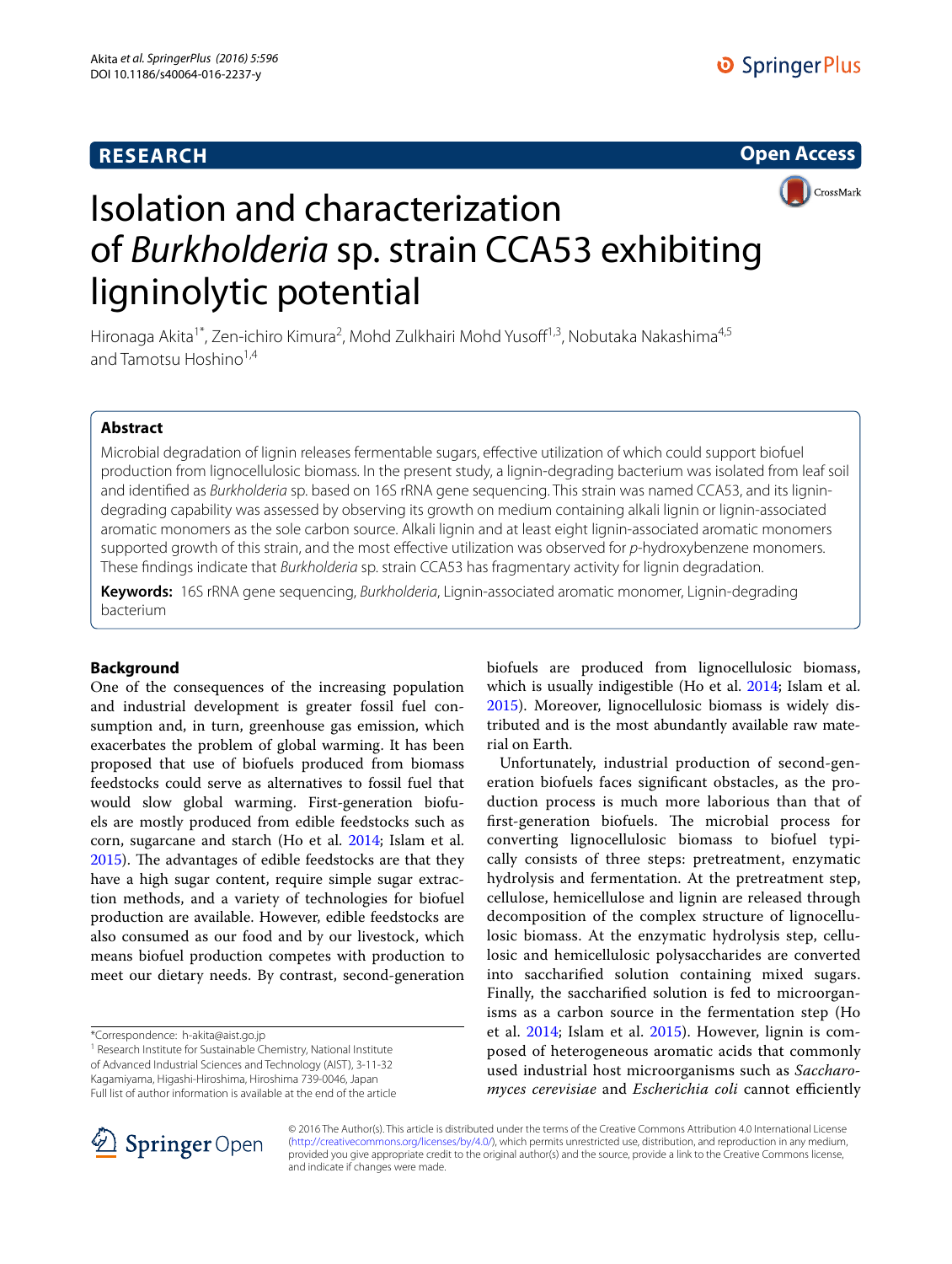# **RESEARCH**

**Open Access**



# Isolation and characterization of *Burkholderia* sp. strain CCA53 exhibiting ligninolytic potential

Hironaga Akita<sup>1\*</sup>, Zen-ichiro Kimura<sup>2</sup>, Mohd Zulkhairi Mohd Yusoff<sup>1,3</sup>, Nobutaka Nakashima<sup>4,5</sup> and Tamotsu Hoshino<sup>1,4</sup>

# **Abstract**

Microbial degradation of lignin releases fermentable sugars, effective utilization of which could support biofuel production from lignocellulosic biomass. In the present study, a lignin-degrading bacterium was isolated from leaf soil and identified as *Burkholderia* sp. based on 16S rRNA gene sequencing. This strain was named CCA53, and its lignindegrading capability was assessed by observing its growth on medium containing alkali lignin or lignin-associated aromatic monomers as the sole carbon source. Alkali lignin and at least eight lignin-associated aromatic monomers supported growth of this strain, and the most effective utilization was observed for *p*-hydroxybenzene monomers. These findings indicate that *Burkholderia* sp. strain CCA53 has fragmentary activity for lignin degradation.

**Keywords:** 16S rRNA gene sequencing, *Burkholderia*, Lignin-associated aromatic monomer, Lignin-degrading bacterium

## **Background**

One of the consequences of the increasing population and industrial development is greater fossil fuel consumption and, in turn, greenhouse gas emission, which exacerbates the problem of global warming. It has been proposed that use of biofuels produced from biomass feedstocks could serve as alternatives to fossil fuel that would slow global warming. First-generation biofuels are mostly produced from edible feedstocks such as corn, sugarcane and starch (Ho et al. [2014;](#page-4-0) Islam et al. [2015](#page-4-1)). The advantages of edible feedstocks are that they have a high sugar content, require simple sugar extraction methods, and a variety of technologies for biofuel production are available. However, edible feedstocks are also consumed as our food and by our livestock, which means biofuel production competes with production to meet our dietary needs. By contrast, second-generation

\*Correspondence: h‑akita@aist.go.jp

<sup>1</sup> Research Institute for Sustainable Chemistry, National Institute of Advanced Industrial Sciences and Technology (AIST), 3‑11‑32

Full list of author information is available at the end of the article

Kagamiyama, Higashi‑Hiroshima, Hiroshima 739‑0046, Japan

biofuels are produced from lignocellulosic biomass, which is usually indigestible (Ho et al. [2014](#page-4-0); Islam et al. [2015](#page-4-1)). Moreover, lignocellulosic biomass is widely distributed and is the most abundantly available raw material on Earth.

Unfortunately, industrial production of second-generation biofuels faces significant obstacles, as the production process is much more laborious than that of first-generation biofuels. The microbial process for converting lignocellulosic biomass to biofuel typically consists of three steps: pretreatment, enzymatic hydrolysis and fermentation. At the pretreatment step, cellulose, hemicellulose and lignin are released through decomposition of the complex structure of lignocellulosic biomass. At the enzymatic hydrolysis step, cellulosic and hemicellulosic polysaccharides are converted into saccharified solution containing mixed sugars. Finally, the saccharified solution is fed to microorganisms as a carbon source in the fermentation step (Ho et al. [2014;](#page-4-0) Islam et al. [2015\)](#page-4-1). However, lignin is composed of heterogeneous aromatic acids that commonly used industrial host microorganisms such as *Saccharomyces cerevisiae* and *Escherichia coli* cannot efficiently



© 2016 The Author(s). This article is distributed under the terms of the Creative Commons Attribution 4.0 International License [\(http://creativecommons.org/licenses/by/4.0/\)](http://creativecommons.org/licenses/by/4.0/), which permits unrestricted use, distribution, and reproduction in any medium, provided you give appropriate credit to the original author(s) and the source, provide a link to the Creative Commons license, and indicate if changes were made.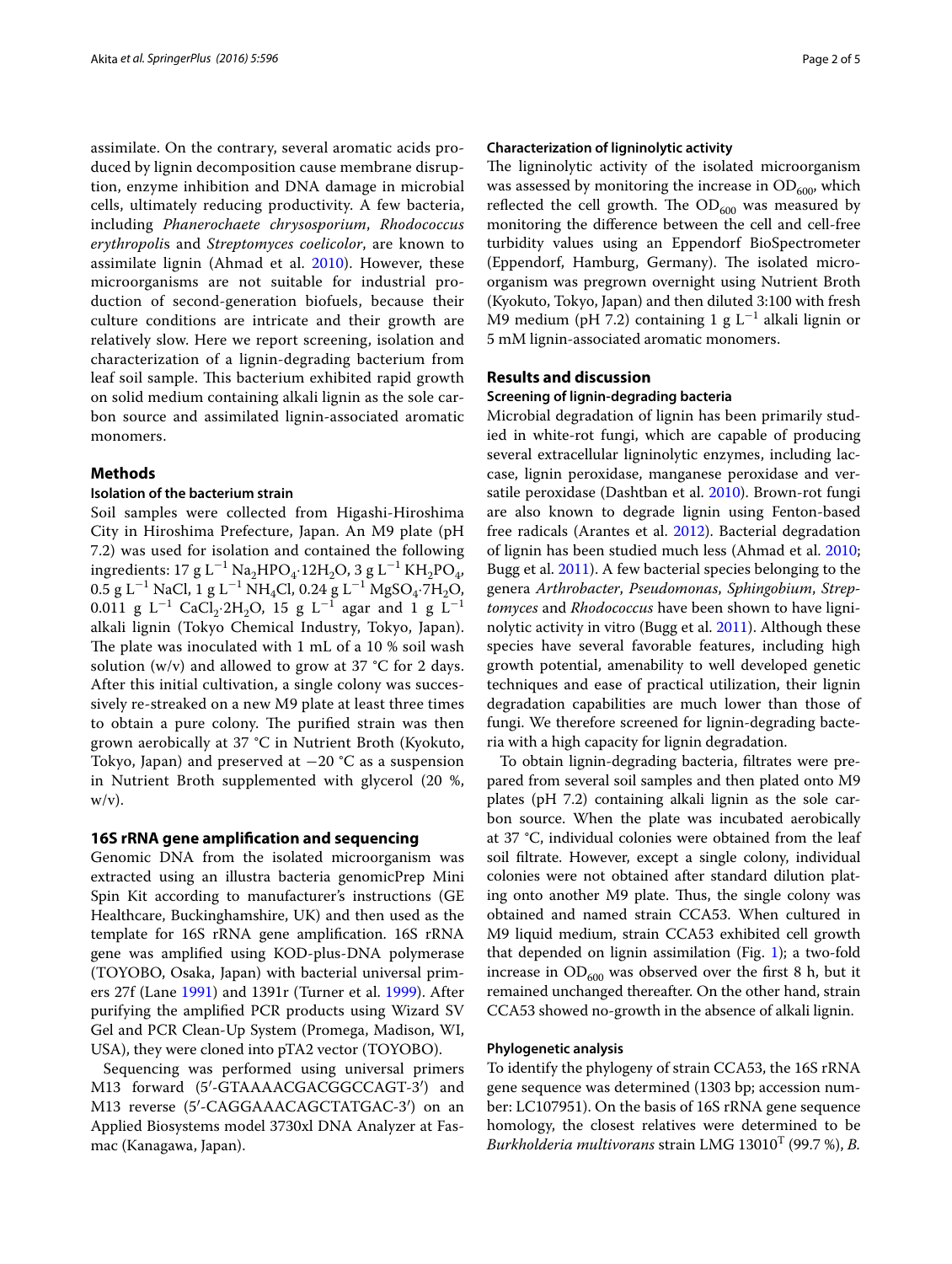assimilate. On the contrary, several aromatic acids produced by lignin decomposition cause membrane disruption, enzyme inhibition and DNA damage in microbial cells, ultimately reducing productivity. A few bacteria, including *Phanerochaete chrysosporium*, *Rhodococcus erythropoli*s and *Streptomyces coelicolor*, are known to assimilate lignin (Ahmad et al. [2010](#page-4-2)). However, these microorganisms are not suitable for industrial production of second-generation biofuels, because their culture conditions are intricate and their growth are relatively slow. Here we report screening, isolation and characterization of a lignin-degrading bacterium from leaf soil sample. This bacterium exhibited rapid growth on solid medium containing alkali lignin as the sole carbon source and assimilated lignin-associated aromatic monomers.

### **Methods**

#### **Isolation of the bacterium strain**

Soil samples were collected from Higashi-Hiroshima City in Hiroshima Prefecture, Japan. An M9 plate (pH 7.2) was used for isolation and contained the following ingredients: 17 g L<sup>−1</sup> Na<sub>2</sub>HPO<sub>4</sub>·12H<sub>2</sub>O, 3 g L<sup>−1</sup> KH<sub>2</sub>PO<sub>4</sub>,  $0.5$  g L<sup>−1</sup> NaCl, 1 g L<sup>−1</sup> NH<sub>4</sub>Cl, 0.24 g L<sup>−1</sup> MgSO<sub>4</sub>·7H<sub>2</sub>O,  $0.011$  g L<sup>-1</sup> CaCl<sub>2</sub>·2H<sub>2</sub>O, 15 g L<sup>-1</sup> agar and 1 g L<sup>-1</sup> alkali lignin (Tokyo Chemical Industry, Tokyo, Japan). The plate was inoculated with 1 mL of a 10 % soil wash solution (w/v) and allowed to grow at 37  $\degree$ C for 2 days. After this initial cultivation, a single colony was successively re-streaked on a new M9 plate at least three times to obtain a pure colony. The purified strain was then grown aerobically at 37 °C in Nutrient Broth (Kyokuto, Tokyo, Japan) and preserved at  $-20$  °C as a suspension in Nutrient Broth supplemented with glycerol (20 %,  $w/v$ ).

## **16S rRNA gene amplification and sequencing**

Genomic DNA from the isolated microorganism was extracted using an illustra bacteria genomicPrep Mini Spin Kit according to manufacturer's instructions (GE Healthcare, Buckinghamshire, UK) and then used as the template for 16S rRNA gene amplification. 16S rRNA gene was amplified using KOD-plus-DNA polymerase (TOYOBO, Osaka, Japan) with bacterial universal primers 27f (Lane [1991](#page-4-3)) and 1391r (Turner et al. [1999\)](#page-4-4). After purifying the amplified PCR products using Wizard SV Gel and PCR Clean-Up System (Promega, Madison, WI, USA), they were cloned into pTA2 vector (TOYOBO).

Sequencing was performed using universal primers M13 forward (5′-GTAAAACGACGGCCAGT-3′) and M13 reverse (5′-CAGGAAACAGCTATGAC-3′) on an Applied Biosystems model 3730xl DNA Analyzer at Fasmac (Kanagawa, Japan).

#### **Characterization of ligninolytic activity**

The ligninolytic activity of the isolated microorganism was assessed by monitoring the increase in  $OD_{600}$ , which reflected the cell growth. The  $OD_{600}$  was measured by monitoring the difference between the cell and cell-free turbidity values using an Eppendorf BioSpectrometer (Eppendorf, Hamburg, Germany). The isolated microorganism was pregrown overnight using Nutrient Broth (Kyokuto, Tokyo, Japan) and then diluted 3:100 with fresh M9 medium (pH 7.2) containing 1 g  $L^{-1}$  alkali lignin or 5 mM lignin-associated aromatic monomers.

#### **Results and discussion**

#### **Screening of lignin‑degrading bacteria**

Microbial degradation of lignin has been primarily studied in white-rot fungi, which are capable of producing several extracellular ligninolytic enzymes, including laccase, lignin peroxidase, manganese peroxidase and versatile peroxidase (Dashtban et al. [2010](#page-4-5)). Brown-rot fungi are also known to degrade lignin using Fenton-based free radicals (Arantes et al. [2012](#page-4-6)). Bacterial degradation of lignin has been studied much less (Ahmad et al. [2010](#page-4-2); Bugg et al. [2011](#page-4-7)). A few bacterial species belonging to the genera *Arthrobacter*, *Pseudomonas*, *Sphingobium*, *Streptomyces* and *Rhodococcus* have been shown to have ligni-nolytic activity in vitro (Bugg et al. [2011](#page-4-7)). Although these species have several favorable features, including high growth potential, amenability to well developed genetic techniques and ease of practical utilization, their lignin degradation capabilities are much lower than those of fungi. We therefore screened for lignin-degrading bacteria with a high capacity for lignin degradation.

To obtain lignin-degrading bacteria, filtrates were prepared from several soil samples and then plated onto M9 plates (pH 7.2) containing alkali lignin as the sole carbon source. When the plate was incubated aerobically at 37 °C, individual colonies were obtained from the leaf soil filtrate. However, except a single colony, individual colonies were not obtained after standard dilution plating onto another M9 plate. Thus, the single colony was obtained and named strain CCA53. When cultured in M9 liquid medium, strain CCA53 exhibited cell growth that depended on lignin assimilation (Fig. [1](#page-2-0)); a two-fold increase in  $OD_{600}$  was observed over the first 8 h, but it remained unchanged thereafter. On the other hand, strain CCA53 showed no-growth in the absence of alkali lignin.

#### **Phylogenetic analysis**

To identify the phylogeny of strain CCA53, the 16S rRNA gene sequence was determined (1303 bp; accession number: LC107951). On the basis of 16S rRNA gene sequence homology, the closest relatives were determined to be *Burkholderia multivorans* strain LMG 13010<sup>T</sup> (99.7 %), *B.*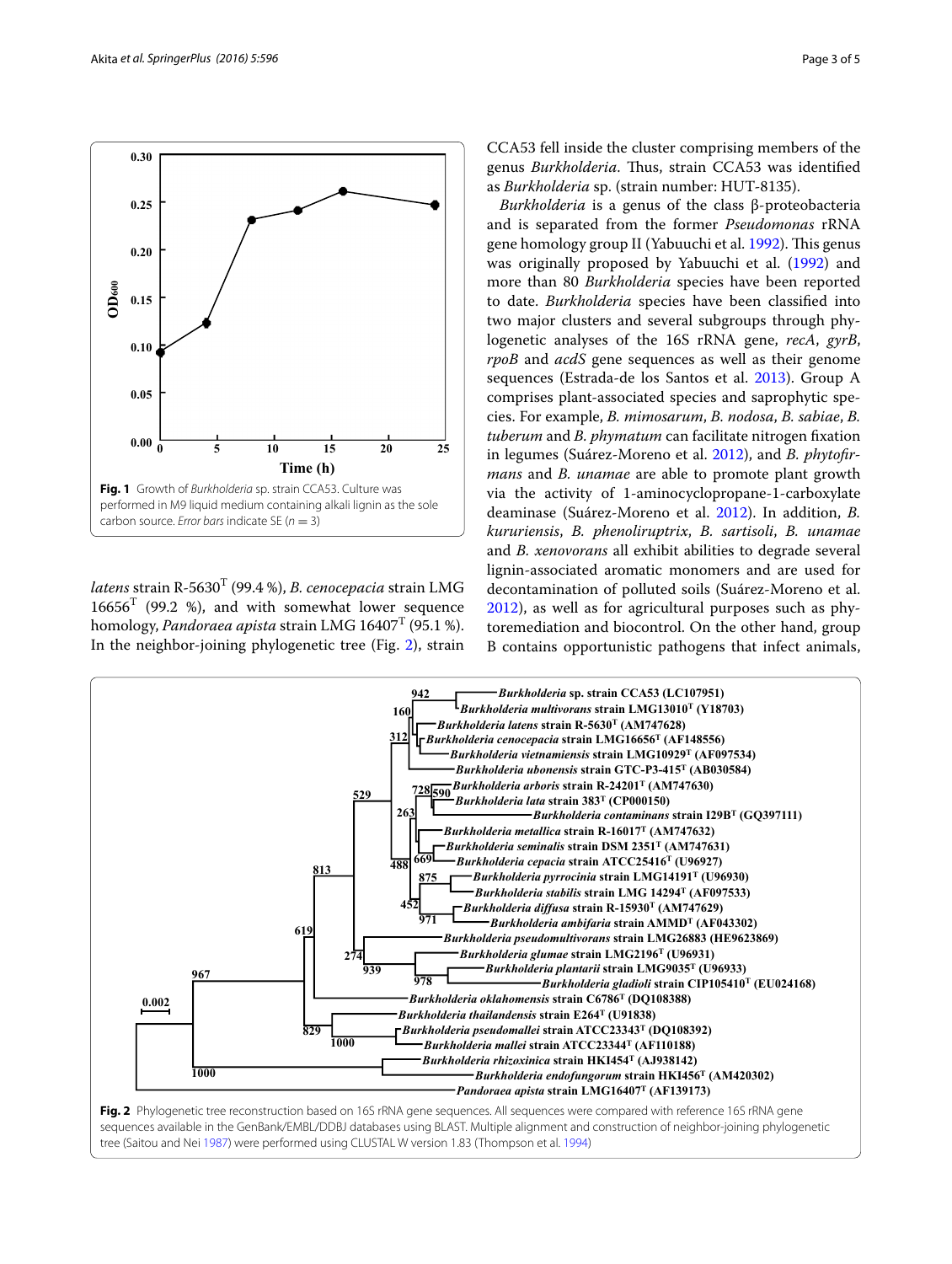

<span id="page-2-0"></span>*latens* strain R-5630<sup>T</sup> (99.4 %), *B. cenocepacia* strain LMG  $16656<sup>T</sup>$  (99.2 %), and with somewhat lower sequence homology, *Pandoraea apista* strain LMG 16407<sup>T</sup> (95.1 %). In the neighbor-joining phylogenetic tree (Fig. [2](#page-2-1)), strain

CCA53 fell inside the cluster comprising members of the genus *Burkholderia*. Thus, strain CCA53 was identified as *Burkholderia* sp. (strain number: HUT-8135).

*Burkholderia* is a genus of the class β-proteobacteria and is separated from the former *Pseudomonas* rRNA gene homology group II (Yabuuchi et al. [1992](#page-4-8)). This genus was originally proposed by Yabuuchi et al. [\(1992\)](#page-4-8) and more than 80 *Burkholderia* species have been reported to date. *Burkholderia* species have been classified into two major clusters and several subgroups through phylogenetic analyses of the 16S rRNA gene, *recA*, *gyrB*, *rpoB* and *acdS* gene sequences as well as their genome sequences (Estrada-de los Santos et al. [2013\)](#page-4-9). Group A comprises plant-associated species and saprophytic species. For example, *B. mimosarum*, *B. nodosa*, *B. sabiae*, *B. tuberum* and *B. phymatum* can facilitate nitrogen fixation in legumes (Suárez-Moreno et al. [2012\)](#page-4-10), and *B. phytofirmans* and *B. unamae* are able to promote plant growth via the activity of 1-aminocyclopropane-1-carboxylate deaminase (Suárez-Moreno et al. [2012\)](#page-4-10). In addition, *B. kururiensis*, *B. phenoliruptrix*, *B. sartisoli*, *B. unamae* and *B. xenovorans* all exhibit abilities to degrade several lignin-associated aromatic monomers and are used for decontamination of polluted soils (Suárez-Moreno et al. [2012](#page-4-10)), as well as for agricultural purposes such as phytoremediation and biocontrol. On the other hand, group B contains opportunistic pathogens that infect animals,



<span id="page-2-1"></span>tree (Saitou and Nei [1987\)](#page-4-11) were performed using CLUSTAL W version 1.83 (Thompson et al. [1994](#page-4-12))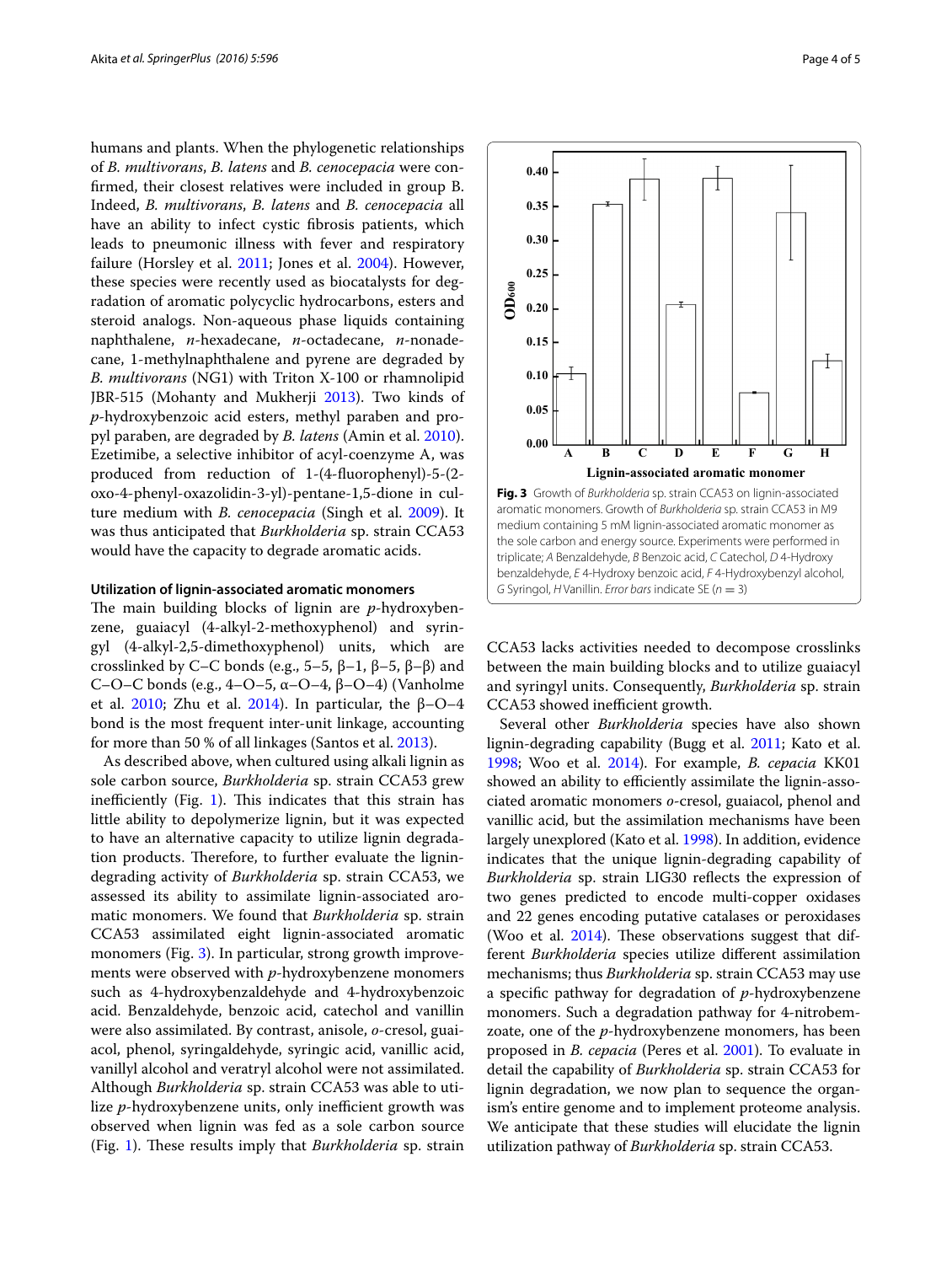humans and plants. When the phylogenetic relationships of *B. multivorans*, *B. latens* and *B. cenocepacia* were confirmed, their closest relatives were included in group B. Indeed, *B. multivorans*, *B. latens* and *B. cenocepacia* all have an ability to infect cystic fibrosis patients, which leads to pneumonic illness with fever and respiratory failure (Horsley et al. [2011](#page-4-13); Jones et al. [2004](#page-4-14)). However, these species were recently used as biocatalysts for degradation of aromatic polycyclic hydrocarbons, esters and steroid analogs. Non-aqueous phase liquids containing naphthalene, *n*-hexadecane, *n*-octadecane, *n*-nonadecane, 1-methylnaphthalene and pyrene are degraded by *B. multivorans* (NG1) with Triton X-100 or rhamnolipid JBR-515 (Mohanty and Mukherji [2013\)](#page-4-15). Two kinds of *p*-hydroxybenzoic acid esters, methyl paraben and propyl paraben, are degraded by *B. latens* (Amin et al. [2010](#page-4-16)). Ezetimibe, a selective inhibitor of acyl-coenzyme A, was produced from reduction of 1-(4-fluorophenyl)-5-(2 oxo-4-phenyl-oxazolidin-3-yl)-pentane-1,5-dione in culture medium with *B. cenocepacia* (Singh et al. [2009](#page-4-17)). It was thus anticipated that *Burkholderia* sp. strain CCA53 would have the capacity to degrade aromatic acids.

#### **Utilization of lignin‑associated aromatic monomers**

The main building blocks of lignin are *p*-hydroxybenzene, guaiacyl (4-alkyl-2-methoxyphenol) and syringyl (4-alkyl-2,5-dimethoxyphenol) units, which are crosslinked by C–C bonds (e.g., 5–5,  $\beta$ –1,  $\beta$ –5,  $\beta$ – $\beta$ ) and C–O–C bonds (e.g., 4–O–5, α–O–4, β–O–4) (Vanholme et al. [2010;](#page-4-18) Zhu et al. [2014\)](#page-4-19). In particular, the  $β$ -O-4 bond is the most frequent inter-unit linkage, accounting for more than 50 % of all linkages (Santos et al. [2013](#page-4-20)).

As described above, when cultured using alkali lignin as sole carbon source, *Burkholderia* sp. strain CCA53 grew inefficiently (Fig. [1](#page-2-0)). This indicates that this strain has little ability to depolymerize lignin, but it was expected to have an alternative capacity to utilize lignin degradation products. Therefore, to further evaluate the lignindegrading activity of *Burkholderia* sp. strain CCA53, we assessed its ability to assimilate lignin-associated aromatic monomers. We found that *Burkholderia* sp. strain CCA53 assimilated eight lignin-associated aromatic monomers (Fig. [3\)](#page-3-0). In particular, strong growth improvements were observed with *p*-hydroxybenzene monomers such as 4-hydroxybenzaldehyde and 4-hydroxybenzoic acid. Benzaldehyde, benzoic acid, catechol and vanillin were also assimilated. By contrast, anisole, *o*-cresol, guaiacol, phenol, syringaldehyde, syringic acid, vanillic acid, vanillyl alcohol and veratryl alcohol were not assimilated. Although *Burkholderia* sp. strain CCA53 was able to utilize *p*-hydroxybenzene units, only inefficient growth was observed when lignin was fed as a sole carbon source (Fig. [1\)](#page-2-0). These results imply that *Burkholderia* sp. strain



CCA53 lacks activities needed to decompose crosslinks between the main building blocks and to utilize guaiacyl and syringyl units. Consequently, *Burkholderia* sp. strain CCA53 showed inefficient growth.

<span id="page-3-0"></span>*G* Syringol, *H* Vanillin. *Error bars* indicate SE (*n* = 3)

Several other *Burkholderia* species have also shown lignin-degrading capability (Bugg et al. [2011](#page-4-7); Kato et al. [1998](#page-4-21); Woo et al. [2014\)](#page-4-22). For example, *B. cepacia* KK01 showed an ability to efficiently assimilate the lignin-associated aromatic monomers *o*-cresol, guaiacol, phenol and vanillic acid, but the assimilation mechanisms have been largely unexplored (Kato et al. [1998\)](#page-4-21). In addition, evidence indicates that the unique lignin-degrading capability of *Burkholderia* sp. strain LIG30 reflects the expression of two genes predicted to encode multi-copper oxidases and 22 genes encoding putative catalases or peroxidases (Woo et al.  $2014$ ). These observations suggest that different *Burkholderia* species utilize different assimilation mechanisms; thus *Burkholderia* sp. strain CCA53 may use a specific pathway for degradation of *p*-hydroxybenzene monomers. Such a degradation pathway for 4-nitrobemzoate, one of the *p*-hydroxybenzene monomers, has been proposed in *B. cepacia* (Peres et al. [2001](#page-4-23)). To evaluate in detail the capability of *Burkholderia* sp. strain CCA53 for lignin degradation, we now plan to sequence the organism's entire genome and to implement proteome analysis. We anticipate that these studies will elucidate the lignin **Example 1.1**<br> **0.18**<br> **0.18**<br> **1.18**<br> **1.18**<br> **1.18**<br> **1.18**<br> **1.18**<br> **1.18**<br> **1.18**<br> **1.18**<br> **1.18**<br> **1.18**<br> **1.18**<br> **1.18**<br> **1.18**<br> **1.18**<br> **1.18**<br> **1.18**<br> **1.18**<br> **1.18**<br> **1.18**<br> **1.18**<br> **1.18**<br> **1.18**<br> **1.18**<br> **1.18**